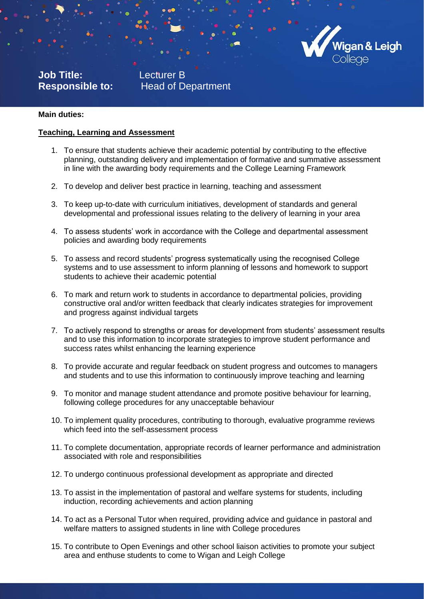

**Job Title:** Lecturer B

**Responsible to:** Head of Department

# **Main duties:**

#### **Teaching, Learning and Assessment**

- 1. To ensure that students achieve their academic potential by contributing to the effective planning, outstanding delivery and implementation of formative and summative assessment in line with the awarding body requirements and the College Learning Framework
- 2. To develop and deliver best practice in learning, teaching and assessment
- 3. To keep up-to-date with curriculum initiatives, development of standards and general developmental and professional issues relating to the delivery of learning in your area
- 4. To assess students' work in accordance with the College and departmental assessment policies and awarding body requirements
- 5. To assess and record students' progress systematically using the recognised College systems and to use assessment to inform planning of lessons and homework to support students to achieve their academic potential
- 6. To mark and return work to students in accordance to departmental policies, providing constructive oral and/or written feedback that clearly indicates strategies for improvement and progress against individual targets
- 7. To actively respond to strengths or areas for development from students' assessment results and to use this information to incorporate strategies to improve student performance and success rates whilst enhancing the learning experience
- 8. To provide accurate and regular feedback on student progress and outcomes to managers and students and to use this information to continuously improve teaching and learning
- 9. To monitor and manage student attendance and promote positive behaviour for learning, following college procedures for any unacceptable behaviour
- 10. To implement quality procedures, contributing to thorough, evaluative programme reviews which feed into the self-assessment process
- 11. To complete documentation, appropriate records of learner performance and administration associated with role and responsibilities
- 12. To undergo continuous professional development as appropriate and directed
- 13. To assist in the implementation of pastoral and welfare systems for students, including induction, recording achievements and action planning
- 14. To act as a Personal Tutor when required, providing advice and guidance in pastoral and welfare matters to assigned students in line with College procedures
- 15. To contribute to Open Evenings and other school liaison activities to promote your subject area and enthuse students to come to Wigan and Leigh College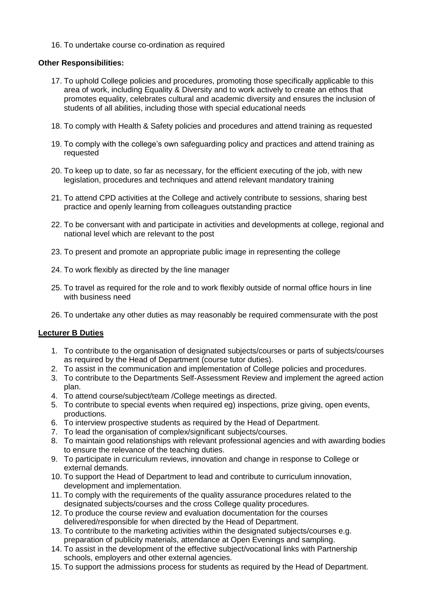16. To undertake course co-ordination as required

# **Other Responsibilities:**

- 17. To uphold College policies and procedures, promoting those specifically applicable to this area of work, including Equality & Diversity and to work actively to create an ethos that promotes equality, celebrates cultural and academic diversity and ensures the inclusion of students of all abilities, including those with special educational needs
- 18. To comply with Health & Safety policies and procedures and attend training as requested
- 19. To comply with the college's own safeguarding policy and practices and attend training as requested
- 20. To keep up to date, so far as necessary, for the efficient executing of the job, with new legislation, procedures and techniques and attend relevant mandatory training
- 21. To attend CPD activities at the College and actively contribute to sessions, sharing best practice and openly learning from colleagues outstanding practice
- 22. To be conversant with and participate in activities and developments at college, regional and national level which are relevant to the post
- 23. To present and promote an appropriate public image in representing the college
- 24. To work flexibly as directed by the line manager
- 25. To travel as required for the role and to work flexibly outside of normal office hours in line with business need
- 26. To undertake any other duties as may reasonably be required commensurate with the post

# **Lecturer B Duties**

- 1. To contribute to the organisation of designated subjects/courses or parts of subjects/courses as required by the Head of Department (course tutor duties).
- 2. To assist in the communication and implementation of College policies and procedures.
- 3. To contribute to the Departments Self-Assessment Review and implement the agreed action plan.
- 4. To attend course/subject/team /College meetings as directed.
- 5. To contribute to special events when required eg) inspections, prize giving, open events, productions.
- 6. To interview prospective students as required by the Head of Department.
- 7. To lead the organisation of complex/significant subjects/courses.
- 8. To maintain good relationships with relevant professional agencies and with awarding bodies to ensure the relevance of the teaching duties.
- 9. To participate in curriculum reviews, innovation and change in response to College or external demands.
- 10. To support the Head of Department to lead and contribute to curriculum innovation, development and implementation.
- 11. To comply with the requirements of the quality assurance procedures related to the designated subjects/courses and the cross College quality procedures.
- 12. To produce the course review and evaluation documentation for the courses delivered/responsible for when directed by the Head of Department.
- 13. To contribute to the marketing activities within the designated subjects/courses e.g. preparation of publicity materials, attendance at Open Evenings and sampling.
- 14. To assist in the development of the effective subject/vocational links with Partnership schools, employers and other external agencies.
- 15. To support the admissions process for students as required by the Head of Department.